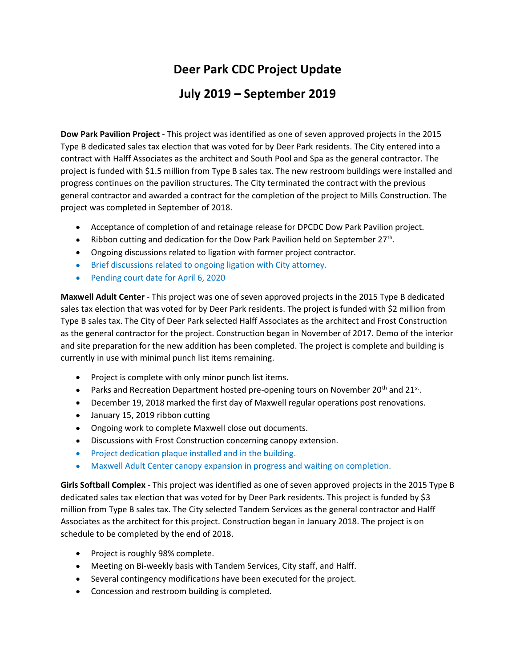## Deer Park CDC Project Update July 2019 - September 2019

Dow Park Pavilion Project - This project was identified as one of seven approved projects in the 2015 Type B dedicated sales tax election that was voted for by Deer Park residents. The City entered into a contract with Halff Associates as the architect and South Pool and Spa as the general contractor. The project is funded with \$1.5 million from Type B sales tax. The new restroom buildings were installed and progress continues on the pavilion structures. The City terminated the contract with the previous general contractor and awarded a contract for the completion of the project to Mills Construction. The project was completed in September of 2018.

- Acceptance of completion of and retainage release for DPCDC Dow Park Pavilion project.
- Ribbon cutting and dedication for the Dow Park Pavilion held on September  $27^{th}$ .
- Ongoing discussions related to ligation with former project contractor.
- Brief discussions related to ongoing ligation with City attorney.
- Pending court date for April 6, 2020

Maxwell Adult Center - This project was one of seven approved projects in the 2015 Type B dedicated sales tax election that was voted for by Deer Park residents. The project is funded with \$2 million from Type B sales tax. The City of Deer Park selected Halff Associates as the architect and Frost Construction as the general contractor for the project. Construction began in November of 2017. Demo of the interior and site preparation for the new addition has been completed. The project is complete and building is currently in use with minimal punch list items remaining.

- Project is complete with only minor punch list items.
- Parks and Recreation Department hosted pre-opening tours on November 20<sup>th</sup> and 21<sup>st</sup>.
- December 19, 2018 marked the first day of Maxwell regular operations post renovations.
- January 15, 2019 ribbon cutting
- Ongoing work to complete Maxwell close out documents.
- Discussions with Frost Construction concerning canopy extension.
- Project dedication plaque installed and in the building.
- $\bullet$ Maxwell Adult Center canopy expansion in progress and waiting on completion.

Girls Softball Complex - This project was identified as one of seven approved projects in the 2015 Type B dedicated sales tax election that was voted for by Deer Park residents. This project is funded by \$3 million from Type B sales tax. The City selected Tandem Services as the general contractor and Halff Associates as the architect for this project. Construction began in January 2018. The project is on schedule to be completed by the end of 2018.

- Project is roughly 98% complete.
- Meeting on Bi-weekly basis with Tandem Services, City staff, and Halff.
- Several contingency modifications have been executed for the project.
- Concession and restroom building is completed.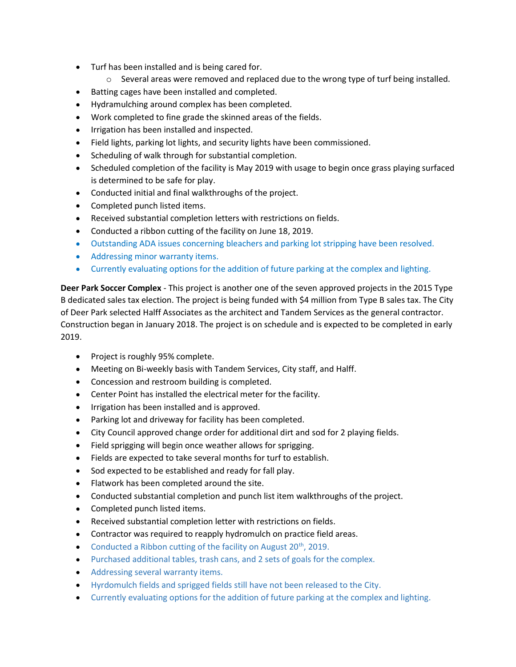- Turf has been installed and is being cared for.
	- $\circ$  Several areas were removed and replaced due to the wrong type of turf being installed.
- Batting cages have been installed and completed.
- Hydramulching around complex has been completed.
- Work completed to fine grade the skinned areas of the fields.
- **•** Irrigation has been installed and inspected.
- Field lights, parking lot lights, and security lights have been commissioned.
- Scheduling of walk through for substantial completion.
- Scheduled completion of the facility is May 2019 with usage to begin once grass playing surfaced is determined to be safe for play.
- Conducted initial and final walkthroughs of the project.
- Completed punch listed items.
- Received substantial completion letters with restrictions on fields.
- Conducted a ribbon cutting of the facility on June 18, 2019.
- Outstanding ADA issues concerning bleachers and parking lot stripping have been resolved.
- Addressing minor warranty items.
- Currently evaluating options for the addition of future parking at the complex and lighting.

Deer Park Soccer Complex - This project is another one of the seven approved projects in the 2015 Type B dedicated sales tax election. The project is being funded with \$4 million from Type B sales tax. The City of Deer Park selected Halff Associates as the architect and Tandem Services as the general contractor. Construction began in January 2018. The project is on schedule and is expected to be completed in early 2019.

- Project is roughly 95% complete.
- Meeting on Bi-weekly basis with Tandem Services, City staff, and Halff.
- Concession and restroom building is completed.
- Center Point has installed the electrical meter for the facility.
- **•** Irrigation has been installed and is approved.
- Parking lot and driveway for facility has been completed.
- City Council approved change order for additional dirt and sod for 2 playing fields.
- Field sprigging will begin once weather allows for sprigging.
- Fields are expected to take several months for turf to establish.
- Sod expected to be established and ready for fall play.
- Flatwork has been completed around the site.
- Conducted substantial completion and punch list item walkthroughs of the project.
- Completed punch listed items.
- Received substantial completion letter with restrictions on fields.
- Contractor was required to reapply hydromulch on practice field areas.
- Conducted a Ribbon cutting of the facility on August  $20<sup>th</sup>$ , 2019.
- Purchased additional tables, trash cans, and 2 sets of goals for the complex.
- Addressing several warranty items.
- Hyrdomulch fields and sprigged fields still have not been released to the City.
- Currently evaluating options for the addition of future parking at the complex and lighting.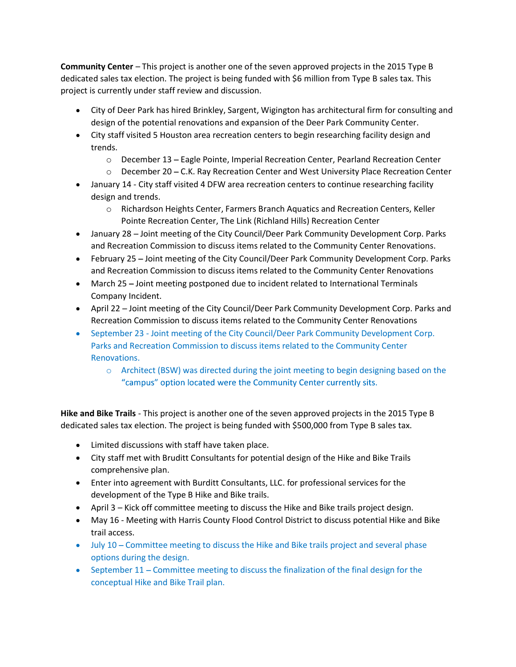**Community Center** – This project is another one of the seven approved projects in the 2015 Type B dedicated sales tax election. The project is being funded with \$6 million from Type B sales tax. This project is currently under staff review and discussion.

- City of Deer Park has hired Brinkley, Sargent, Wigington has architectural firm for consulting and design of the potential renovations and expansion of the Deer Park Community Center.
- City staff visited 5 Houston area recreation centers to begin researching facility design and trends.
	- $\circ$  December 13 Eagle Pointe, Imperial Recreation Center, Pearland Recreation Center
	- $\circ$  December 20 C.K. Ray Recreation Center and West University Place Recreation Center
- January 14 City staff visited 4 DFW area recreation centers to continue researching facility design and trends.
	- o Richardson Heights Center, Farmers Branch Aquatics and Recreation Centers, Keller Pointe Recreation Center, The Link (Richland Hills) Recreation Center
- January 28 Joint meeting of the City Council/Deer Park Community Development Corp. Parks and Recreation Commission to discuss items related to the Community Center Renovations.
- February 25 Joint meeting of the City Council/Deer Park Community Development Corp. Parks and Recreation Commission to discuss items related to the Community Center Renovations
- March 25 Joint meeting postponed due to incident related to International Terminals Company Incident.
- April 22 Joint meeting of the City Council/Deer Park Community Development Corp. Parks and Recreation Commission to discuss items related to the Community Center Renovations
- September 23 Joint meeting of the City Council/Deer Park Community Development Corp. Parks and Recreation Commission to discuss items related to the Community Center Renovations.
	- o Architect (BSW) was directed during the joint meeting to begin designing based on the "campus" option located were the Community Center currently sits.

Hike and Bike Trails - This project is another one of the seven approved projects in the 2015 Type B dedicated sales tax election. The project is being funded with \$500,000 from Type B sales tax.

- Limited discussions with staff have taken place.
- City staff met with Bruditt Consultants for potential design of the Hike and Bike Trails comprehensive plan.
- Enter into agreement with Burditt Consultants, LLC. for professional services for the development of the Type B Hike and Bike trails.
- $\bullet$  April 3 Kick off committee meeting to discuss the Hike and Bike trails project design.
- May 16 Meeting with Harris County Flood Control District to discuss potential Hike and Bike trail access.
- July 10 Committee meeting to discuss the Hike and Bike trails project and several phase options during the design.
- September  $11$  Committee meeting to discuss the finalization of the final design for the conceptual Hike and Bike Trail plan.